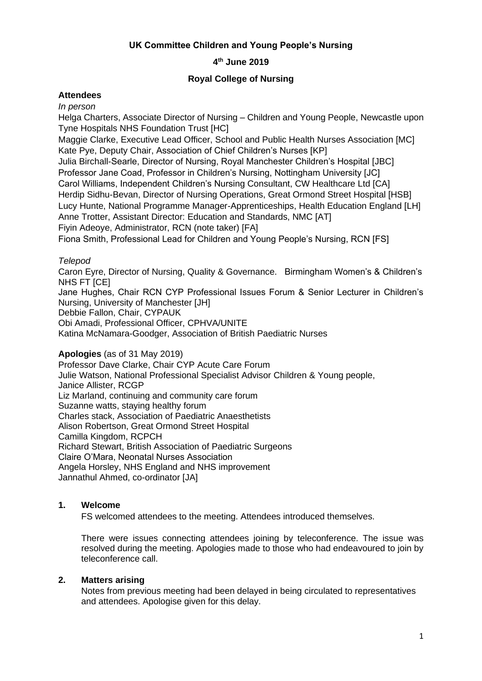# **UK Committee Children and Young People's Nursing**

# **4 th June 2019**

## **Royal College of Nursing**

## **Attendees**

#### *In person*

Helga Charters, Associate Director of Nursing – Children and Young People, Newcastle upon Tyne Hospitals NHS Foundation Trust [HC]

Maggie Clarke, Executive Lead Officer, School and Public Health Nurses Association [MC] Kate Pye, Deputy Chair, Association of Chief Children's Nurses [KP]

Julia Birchall-Searle, Director of Nursing, Royal Manchester Children's Hospital [JBC] Professor Jane Coad, Professor in Children's Nursing, Nottingham University [JC] Carol Williams, Independent Children's Nursing Consultant, CW Healthcare Ltd [CA] Herdip Sidhu-Bevan, Director of Nursing Operations, Great Ormond Street Hospital [HSB] Lucy Hunte, National Programme Manager-Apprenticeships, Health Education England [LH] Anne Trotter, Assistant Director: Education and Standards, NMC [AT] Fiyin Adeoye, Administrator, RCN (note taker) [FA]

Fiona Smith, Professional Lead for Children and Young People's Nursing, RCN [FS]

### *Telepod*

Caron Eyre, Director of Nursing, Quality & Governance. Birmingham Women's & Children's NHS FT [CE]

Jane Hughes, Chair RCN CYP Professional Issues Forum & Senior Lecturer in Children's Nursing, University of Manchester [JH]

Debbie Fallon, Chair, CYPAUK

Obi Amadi, Professional Officer, CPHVA/UNITE

Katina McNamara-Goodger, Association of British Paediatric Nurses

### **Apologies** (as of 31 May 2019)

Professor Dave Clarke, Chair CYP Acute Care Forum Julie Watson, National Professional Specialist Advisor Children & Young people, Janice Allister, RCGP Liz Marland, continuing and community care forum Suzanne watts, staying healthy forum Charles stack, Association of Paediatric Anaesthetists Alison Robertson, Great Ormond Street Hospital Camilla Kingdom, RCPCH Richard Stewart, British Association of Paediatric Surgeons Claire O'Mara, Neonatal Nurses Association Angela Horsley, NHS England and NHS improvement Jannathul Ahmed, co-ordinator [JA]

### **1. Welcome**

FS welcomed attendees to the meeting. Attendees introduced themselves.

There were issues connecting attendees joining by teleconference. The issue was resolved during the meeting. Apologies made to those who had endeavoured to join by teleconference call.

## **2. Matters arising**

Notes from previous meeting had been delayed in being circulated to representatives and attendees. Apologise given for this delay.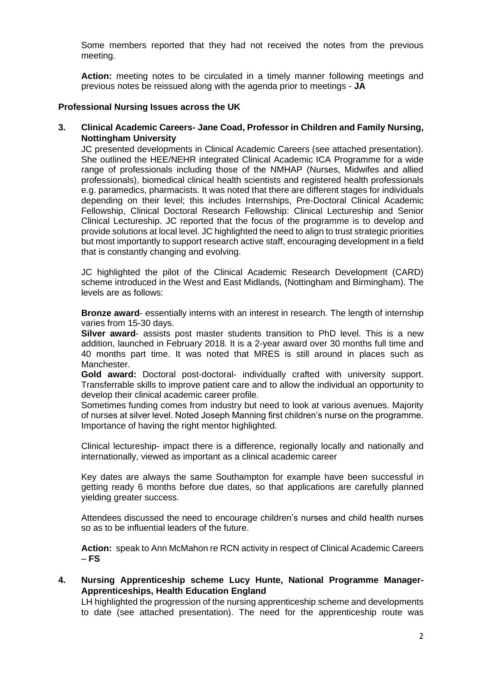Some members reported that they had not received the notes from the previous meeting.

**Action:** meeting notes to be circulated in a timely manner following meetings and previous notes be reissued along with the agenda prior to meetings - **JA**

#### **Professional Nursing Issues across the UK**

**3. Clinical Academic Careers- Jane Coad, Professor in Children and Family Nursing, Nottingham University**

JC presented developments in Clinical Academic Careers (see attached presentation). She outlined the HEE/NEHR integrated Clinical Academic ICA Programme for a wide range of professionals including those of the NMHAP (Nurses, Midwifes and allied professionals), biomedical clinical health scientists and registered health professionals e.g. paramedics, pharmacists. It was noted that there are different stages for individuals depending on their level; this includes Internships, Pre-Doctoral Clinical Academic Fellowship, Clinical Doctoral Research Fellowship: Clinical Lectureship and Senior Clinical Lectureship. JC reported that the focus of the programme is to develop and provide solutions at local level. JC highlighted the need to align to trust strategic priorities but most importantly to support research active staff, encouraging development in a field that is constantly changing and evolving.

JC highlighted the pilot of the Clinical Academic Research Development (CARD) scheme introduced in the West and East Midlands, (Nottingham and Birmingham). The levels are as follows:

**Bronze award**- essentially interns with an interest in research. The length of internship varies from 15-30 days.

**Silver award**- assists post master students transition to PhD level. This is a new addition, launched in February 2018. It is a 2-year award over 30 months full time and 40 months part time. It was noted that MRES is still around in places such as Manchester.

**Gold award:** Doctoral post-doctoral- individually crafted with university support. Transferrable skills to improve patient care and to allow the individual an opportunity to develop their clinical academic career profile.

Sometimes funding comes from industry but need to look at various avenues. Majority of nurses at silver level. Noted Joseph Manning first children's nurse on the programme. Importance of having the right mentor highlighted.

Clinical lectureship- impact there is a difference, regionally locally and nationally and internationally, viewed as important as a clinical academic career

Key dates are always the same Southampton for example have been successful in getting ready 6 months before due dates, so that applications are carefully planned yielding greater success.

Attendees discussed the need to encourage children's nurses and child health nurses so as to be influential leaders of the future.

**Action:** speak to Ann McMahon re RCN activity in respect of Clinical Academic Careers – **FS**

**4. Nursing Apprenticeship scheme Lucy Hunte, National Programme Manager-Apprenticeships, Health Education England**

LH highlighted the progression of the nursing apprenticeship scheme and developments to date (see attached presentation). The need for the apprenticeship route was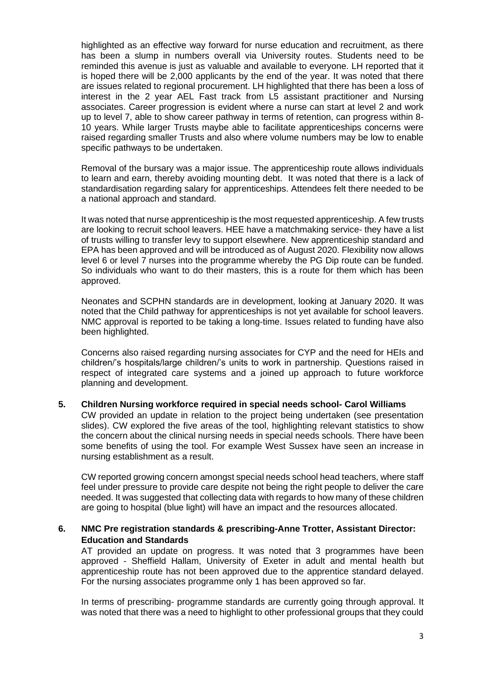highlighted as an effective way forward for nurse education and recruitment, as there has been a slump in numbers overall via University routes. Students need to be reminded this avenue is just as valuable and available to everyone. LH reported that it is hoped there will be 2,000 applicants by the end of the year. It was noted that there are issues related to regional procurement. LH highlighted that there has been a loss of interest in the 2 year AEL Fast track from L5 assistant practitioner and Nursing associates. Career progression is evident where a nurse can start at level 2 and work up to level 7, able to show career pathway in terms of retention, can progress within 8- 10 years. While larger Trusts maybe able to facilitate apprenticeships concerns were raised regarding smaller Trusts and also where volume numbers may be low to enable specific pathways to be undertaken.

Removal of the bursary was a major issue. The apprenticeship route allows individuals to learn and earn, thereby avoiding mounting debt. It was noted that there is a lack of standardisation regarding salary for apprenticeships. Attendees felt there needed to be a national approach and standard.

It was noted that nurse apprenticeship is the most requested apprenticeship. A few trusts are looking to recruit school leavers. HEE have a matchmaking service- they have a list of trusts willing to transfer levy to support elsewhere. New apprenticeship standard and EPA has been approved and will be introduced as of August 2020. Flexibility now allows level 6 or level 7 nurses into the programme whereby the PG Dip route can be funded. So individuals who want to do their masters, this is a route for them which has been approved.

Neonates and SCPHN standards are in development, looking at January 2020. It was noted that the Child pathway for apprenticeships is not yet available for school leavers. NMC approval is reported to be taking a long-time. Issues related to funding have also been highlighted.

Concerns also raised regarding nursing associates for CYP and the need for HEIs and children/'s hospitals/large children/'s units to work in partnership. Questions raised in respect of integrated care systems and a joined up approach to future workforce planning and development.

### **5. Children Nursing workforce required in special needs school- Carol Williams**

CW provided an update in relation to the project being undertaken (see presentation slides). CW explored the five areas of the tool, highlighting relevant statistics to show the concern about the clinical nursing needs in special needs schools. There have been some benefits of using the tool. For example West Sussex have seen an increase in nursing establishment as a result.

CW reported growing concern amongst special needs school head teachers, where staff feel under pressure to provide care despite not being the right people to deliver the care needed. It was suggested that collecting data with regards to how many of these children are going to hospital (blue light) will have an impact and the resources allocated.

### **6. NMC Pre registration standards & prescribing-Anne Trotter, Assistant Director: Education and Standards**

AT provided an update on progress. It was noted that 3 programmes have been approved - Sheffield Hallam, University of Exeter in adult and mental health but apprenticeship route has not been approved due to the apprentice standard delayed. For the nursing associates programme only 1 has been approved so far.

In terms of prescribing- programme standards are currently going through approval. It was noted that there was a need to highlight to other professional groups that they could